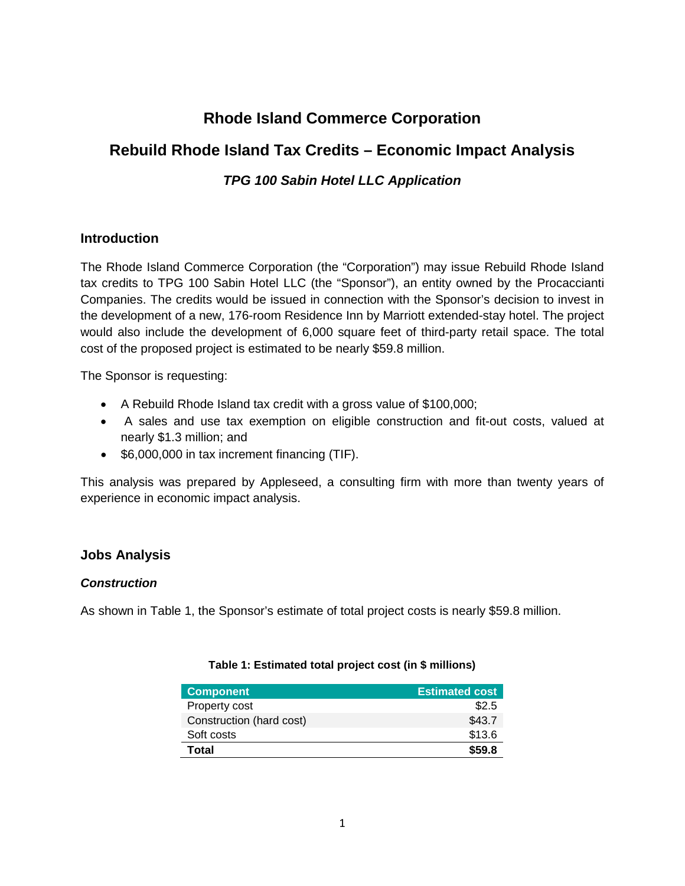# **Rhode Island Commerce Corporation**

## **Rebuild Rhode Island Tax Credits – Economic Impact Analysis**

## *TPG 100 Sabin Hotel LLC Application*

## **Introduction**

The Rhode Island Commerce Corporation (the "Corporation") may issue Rebuild Rhode Island tax credits to TPG 100 Sabin Hotel LLC (the "Sponsor"), an entity owned by the Procaccianti Companies. The credits would be issued in connection with the Sponsor's decision to invest in the development of a new, 176-room Residence Inn by Marriott extended-stay hotel. The project would also include the development of 6,000 square feet of third-party retail space. The total cost of the proposed project is estimated to be nearly \$59.8 million.

The Sponsor is requesting:

- A Rebuild Rhode Island tax credit with a gross value of \$100,000;
- A sales and use tax exemption on eligible construction and fit-out costs, valued at nearly \$1.3 million; and
- \$6,000,000 in tax increment financing (TIF).

This analysis was prepared by Appleseed, a consulting firm with more than twenty years of experience in economic impact analysis.

## **Jobs Analysis**

## *Construction*

As shown in Table 1, the Sponsor's estimate of total project costs is nearly \$59.8 million.

| <b>Component</b>         | <b>Estimated cost</b> |
|--------------------------|-----------------------|
| Property cost            | \$2.5                 |
| Construction (hard cost) | \$43.7                |
| Soft costs               | \$13.6                |
| Total                    | \$59.8                |

#### **Table 1: Estimated total project cost (in \$ millions)**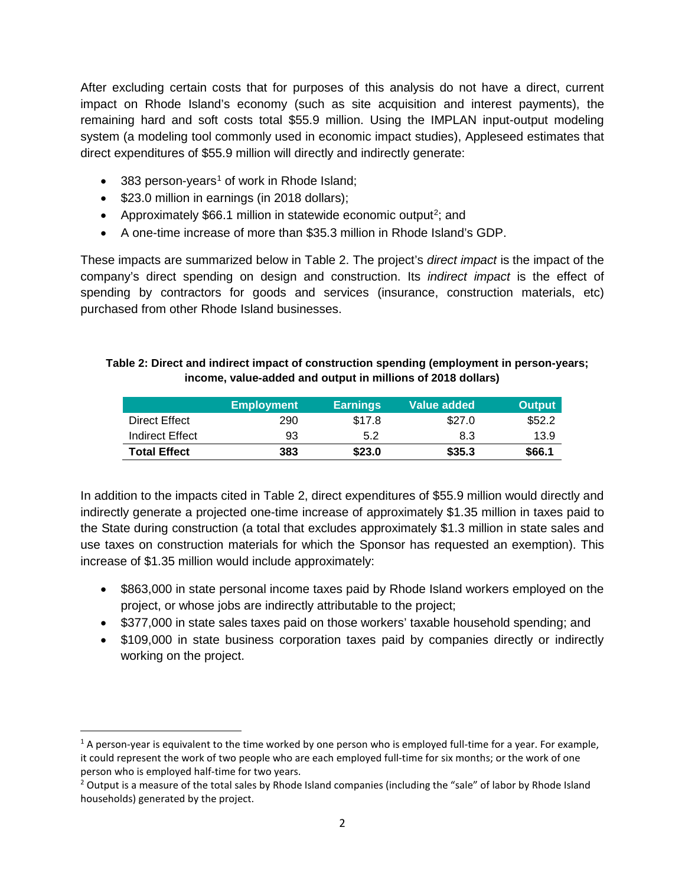After excluding certain costs that for purposes of this analysis do not have a direct, current impact on Rhode Island's economy (such as site acquisition and interest payments), the remaining hard and soft costs total \$55.9 million. Using the IMPLAN input-output modeling system (a modeling tool commonly used in economic impact studies), Appleseed estimates that direct expenditures of \$55.9 million will directly and indirectly generate:

- 383 person-years<sup>[1](#page-1-0)</sup> of work in Rhode Island;
- \$23.0 million in earnings (in 2018 dollars);
- Approximately \$66.1 million in statewide economic output<sup>[2](#page-1-1)</sup>; and
- A one-time increase of more than \$35.3 million in Rhode Island's GDP.

These impacts are summarized below in Table 2. The project's *direct impact* is the impact of the company's direct spending on design and construction. Its *indirect impact* is the effect of spending by contractors for goods and services (insurance, construction materials, etc) purchased from other Rhode Island businesses.

#### **Table 2: Direct and indirect impact of construction spending (employment in person-years; income, value-added and output in millions of 2018 dollars)**

|                     | <b>Employment</b> | <b>Earnings</b> | Value added | <b>Output</b> |
|---------------------|-------------------|-----------------|-------------|---------------|
| Direct Effect       | 290               | \$17.8          | \$27.0      | \$52.2        |
| Indirect Effect     | 93                | 5.2             | 8.3         | 13.9          |
| <b>Total Effect</b> | 383               | \$23.0          | \$35.3      | \$66.1        |

In addition to the impacts cited in Table 2, direct expenditures of \$55.9 million would directly and indirectly generate a projected one-time increase of approximately \$1.35 million in taxes paid to the State during construction (a total that excludes approximately \$1.3 million in state sales and use taxes on construction materials for which the Sponsor has requested an exemption). This increase of \$1.35 million would include approximately:

- \$863,000 in state personal income taxes paid by Rhode Island workers employed on the project, or whose jobs are indirectly attributable to the project;
- \$377,000 in state sales taxes paid on those workers' taxable household spending; and
- \$109,000 in state business corporation taxes paid by companies directly or indirectly working on the project.

<span id="page-1-0"></span> $1$  A person-year is equivalent to the time worked by one person who is employed full-time for a year. For example, it could represent the work of two people who are each employed full-time for six months; or the work of one person who is employed half-time for two years.<br><sup>2</sup> Output is a measure of the total sales by Rhode Island companies (including the "sale" of labor by Rhode Island

<span id="page-1-1"></span>households) generated by the project.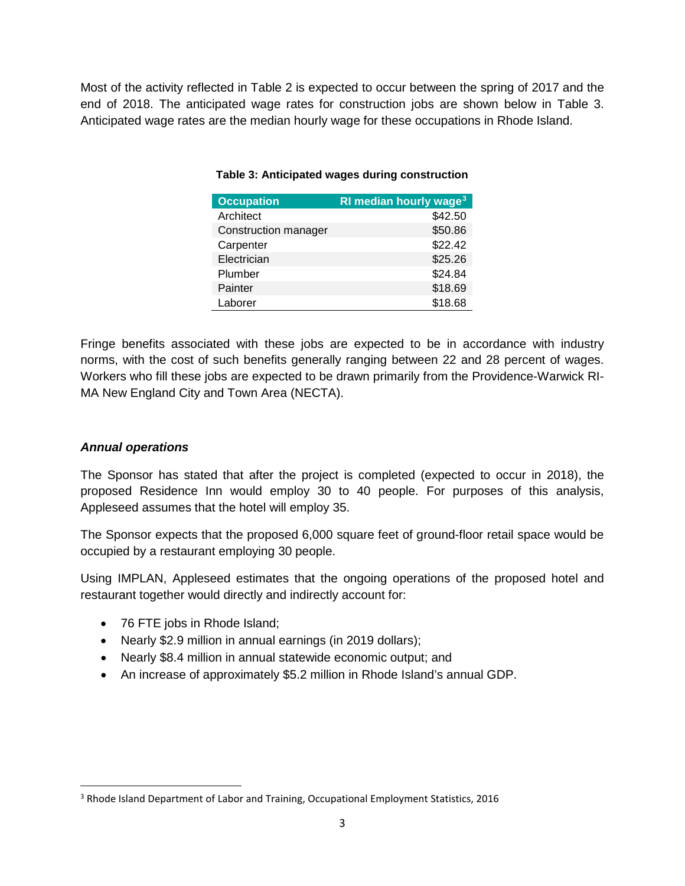Most of the activity reflected in Table 2 is expected to occur between the spring of 2017 and the end of 2018. The anticipated wage rates for construction jobs are shown below in Table 3. Anticipated wage rates are the median hourly wage for these occupations in Rhode Island.

| <b>Occupation</b>    | RI median hourly wage <sup>3</sup> |
|----------------------|------------------------------------|
| Architect            | \$42.50                            |
| Construction manager | \$50.86                            |
| Carpenter            | \$22.42                            |
| Electrician          | \$25.26                            |
| Plumber              | \$24.84                            |
| Painter              | \$18.69                            |
| Laborer              | \$18.68                            |

#### **Table 3: Anticipated wages during construction**

Fringe benefits associated with these jobs are expected to be in accordance with industry norms, with the cost of such benefits generally ranging between 22 and 28 percent of wages. Workers who fill these jobs are expected to be drawn primarily from the Providence-Warwick RI-MA New England City and Town Area (NECTA).

#### *Annual operations*

The Sponsor has stated that after the project is completed (expected to occur in 2018), the proposed Residence Inn would employ 30 to 40 people. For purposes of this analysis, Appleseed assumes that the hotel will employ 35.

The Sponsor expects that the proposed 6,000 square feet of ground-floor retail space would be occupied by a restaurant employing 30 people.

Using IMPLAN, Appleseed estimates that the ongoing operations of the proposed hotel and restaurant together would directly and indirectly account for:

- 76 FTE jobs in Rhode Island;
- Nearly \$2.9 million in annual earnings (in 2019 dollars);
- Nearly \$8.4 million in annual statewide economic output; and
- An increase of approximately \$5.2 million in Rhode Island's annual GDP.

<span id="page-2-0"></span> <sup>3</sup> Rhode Island Department of Labor and Training, Occupational Employment Statistics, 2016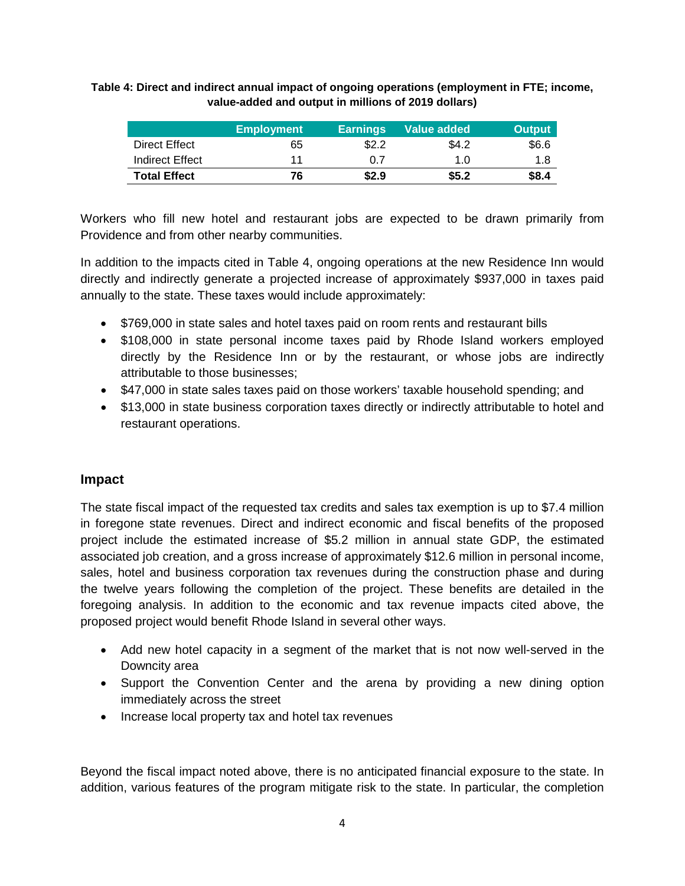| Table 4: Direct and indirect annual impact of ongoing operations (employment in FTE; income, |
|----------------------------------------------------------------------------------------------|
| value-added and output in millions of 2019 dollars)                                          |

|                     | <b>Employment</b> | <b>Earnings</b> | Value added | <b>Output</b> |
|---------------------|-------------------|-----------------|-------------|---------------|
| Direct Effect       | 65                | \$2.2           | \$4.2       | \$6.6         |
| Indirect Effect     |                   | 0.7             | 1.0         | 1.8           |
| <b>Total Effect</b> | 76                | \$2.9           | \$5.2       | \$8.4         |

Workers who fill new hotel and restaurant jobs are expected to be drawn primarily from Providence and from other nearby communities.

In addition to the impacts cited in Table 4, ongoing operations at the new Residence Inn would directly and indirectly generate a projected increase of approximately \$937,000 in taxes paid annually to the state. These taxes would include approximately:

- \$769,000 in state sales and hotel taxes paid on room rents and restaurant bills
- \$108,000 in state personal income taxes paid by Rhode Island workers employed directly by the Residence Inn or by the restaurant, or whose jobs are indirectly attributable to those businesses;
- \$47,000 in state sales taxes paid on those workers' taxable household spending; and
- \$13,000 in state business corporation taxes directly or indirectly attributable to hotel and restaurant operations.

## **Impact**

The state fiscal impact of the requested tax credits and sales tax exemption is up to \$7.4 million in foregone state revenues. Direct and indirect economic and fiscal benefits of the proposed project include the estimated increase of \$5.2 million in annual state GDP, the estimated associated job creation, and a gross increase of approximately \$12.6 million in personal income, sales, hotel and business corporation tax revenues during the construction phase and during the twelve years following the completion of the project. These benefits are detailed in the foregoing analysis. In addition to the economic and tax revenue impacts cited above, the proposed project would benefit Rhode Island in several other ways.

- Add new hotel capacity in a segment of the market that is not now well-served in the Downcity area
- Support the Convention Center and the arena by providing a new dining option immediately across the street
- Increase local property tax and hotel tax revenues

Beyond the fiscal impact noted above, there is no anticipated financial exposure to the state. In addition, various features of the program mitigate risk to the state. In particular, the completion